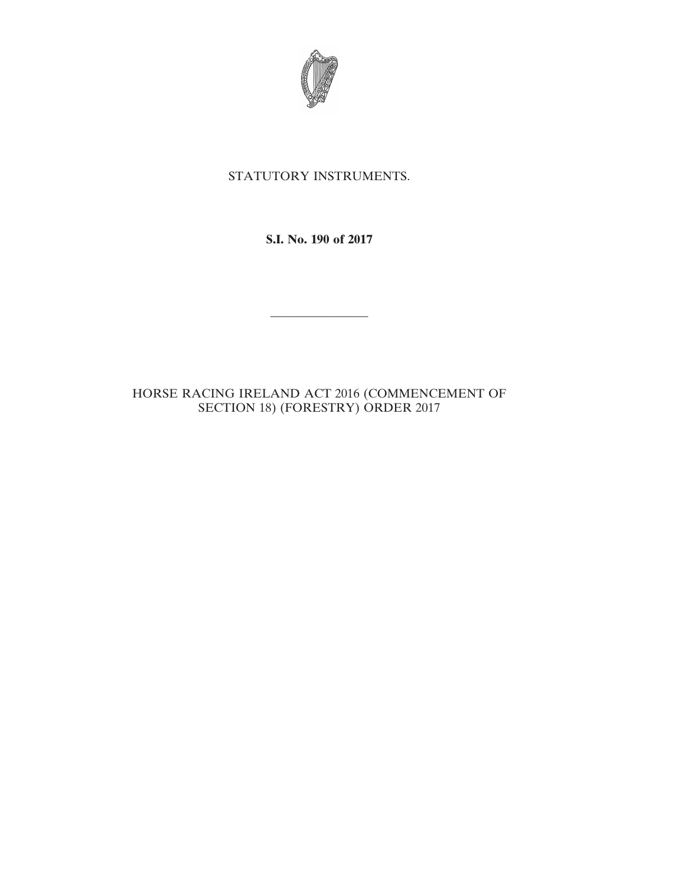

## STATUTORY INSTRUMENTS.

**S.I. No. 190 of 2017**

————————

## HORSE RACING IRELAND ACT 2016 (COMMENCEMENT OF SECTION 18) (FORESTRY) ORDER 2017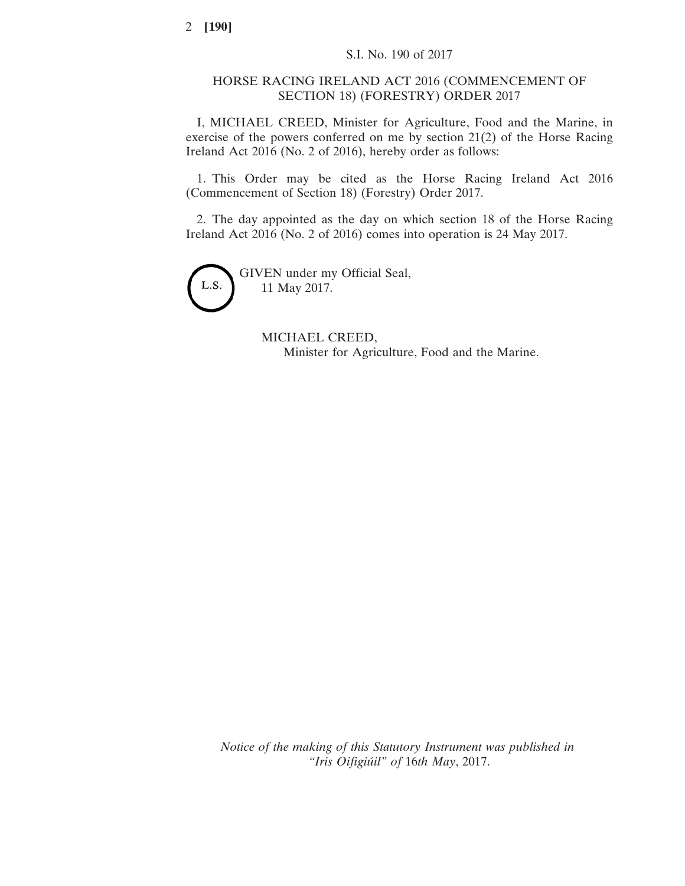## HORSE RACING IRELAND ACT 2016 (COMMENCEMENT OF SECTION 18) (FORESTRY) ORDER 2017

I, MICHAEL CREED, Minister for Agriculture, Food and the Marine, in exercise of the powers conferred on me by section 21(2) of the Horse Racing Ireland Act 2016 (No. 2 of 2016), hereby order as follows:

1. This Order may be cited as the Horse Racing Ireland Act 2016 (Commencement of Section 18) (Forestry) Order 2017.

2. The day appointed as the day on which section 18 of the Horse Racing Ireland Act 2016 (No. 2 of 2016) comes into operation is 24 May 2017.



GIVEN under my Official Seal, 11 May 2017.

> MICHAEL CREED, Minister for Agriculture, Food and the Marine.

*Notice of the making of this Statutory Instrument was published in "Iris Oifigiúil" of* 16*th May*, 2017.